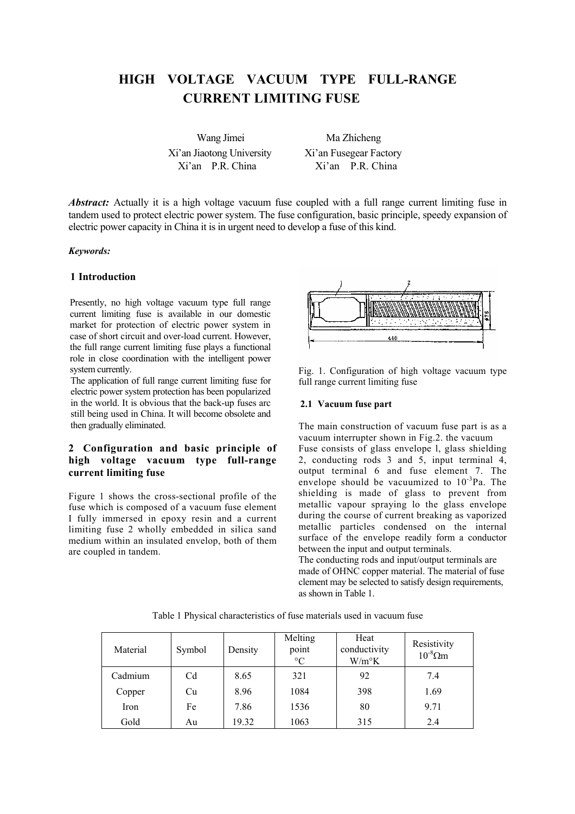# **HIGH VOLTAGE VACUUM TYPE FULL-RANGE CURRENT LIMITING FUSE**

Wang Jimei Ma Zhicheng Xi'an Jiaotong University Xi'an Fusegear Factory Xi'an P.R. China Xi'an P.R. China

*Abstract:* Actually it is a high voltage vacuum fuse coupled with a full range current limiting fuse in tandem used to protect electric power system. The fuse configuration, basic principle, speedy expansion of electric power capacity in China it is in urgent need to develop a fuse of this kind.

#### *Keywords:*

# **1 Introduction**

Presently, no high voltage vacuum type full range current limiting fuse is available in our domestic market for protection of electric power system in case of short circuit and over-load current. However, the full range current limiting fuse plays a functional role in close coordination with the intelligent power system currently.

The application of full range current limiting fuse for electric power system protection has been popularized in the world. It is obvious that the back-up fuses arc still being used in China. It will become obsolete and then gradually eliminated.

# **2 Configuration and basic principle of high voltage vacuum type full-range current limiting fuse**

Figure 1 shows the cross-sectional profile of the fuse which is composed of a vacuum fuse element I fully immersed in epoxy resin and a current limiting fuse 2 wholly embedded in silica sand medium within an insulated envelop, both of them are coupled in tandem.



Fig. 1. Configuration of high voltage vacuum type full range current limiting fuse

#### **2.1 Vacuum fuse part**

The main construction of vacuum fuse part is as a vacuum interrupter shown in Fig.2. the vacuum Fuse consists of glass envelope l, glass shielding 2, conducting rods 3 and 5, input terminal 4, output terminal 6 and fuse element 7. The envelope should be vacuumized to  $10^{-3}$ Pa. The shielding is made of glass to prevent from metallic vapour spraying lo the glass envelope during the course of current breaking as vaporized metallic particles condensed on the internal surface of the envelope readily form a conductor between the input and output terminals.

The conducting rods and input/output terminals are made of OHNC copper material. The material of fuse clement may be selected to satisfy design requirements, as shown in Table 1.

|  | Table 1 Physical characteristics of fuse materials used in vacuum fuse |  |  |  |  |
|--|------------------------------------------------------------------------|--|--|--|--|
|--|------------------------------------------------------------------------|--|--|--|--|

| Material | Symbol         | Density | Melting<br>point<br>$\rm ^{\circ}C$ | Heat<br>conductivity<br>$W/m^{\circ}K$ | Resistivity<br>$10^{-8} \Omega m$ |
|----------|----------------|---------|-------------------------------------|----------------------------------------|-----------------------------------|
| Cadmium  | C <sub>d</sub> | 8.65    | 321                                 | 92                                     | 7.4                               |
| Copper   | Cu             | 8.96    | 1084                                | 398                                    | 1.69                              |
| Iron     | Fe             | 7.86    | 1536                                | 80                                     | 9.71                              |
| Gold     | Au             | 19.32   | 1063                                | 315                                    | 2.4                               |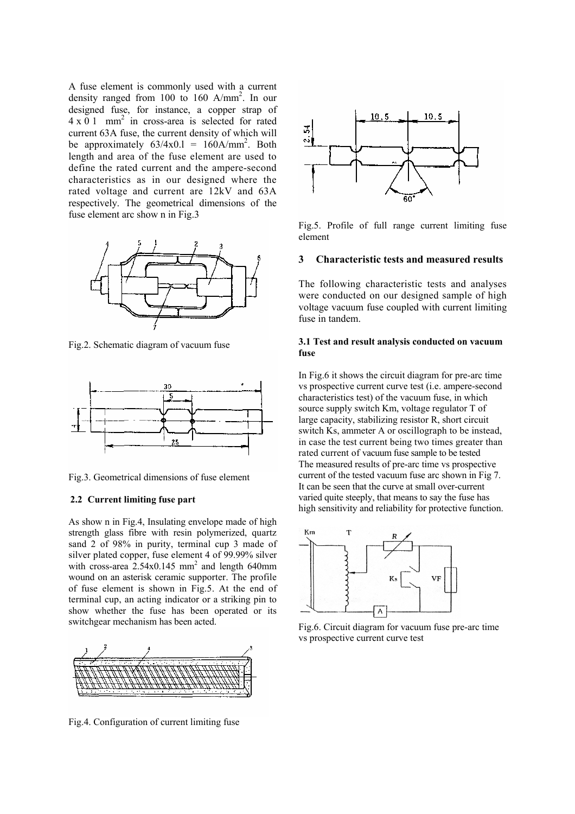A fuse element is commonly used with a current density ranged from 100 to 160 A/mm<sup>2</sup> . In our designed fuse, for instance, a copper strap of  $4 \times 0$  1 mm<sup>2</sup> in cross-area is selected for rated current 63A fuse, the current density of which will be approximately  $63/4 \times 0.1 = 160 \text{A/mm}^2$ . Both length and area of the fuse element are used to define the rated current and the ampere-second characteristics as in our designed where the rated voltage and current are 12kV and 63A respectively. The geometrical dimensions of the fuse element arc show n in Fig.3



Fig.2. Schematic diagram of vacuum fuse



Fig.3. Geometrical dimensions of fuse element

#### **2.2 Current limiting fuse part**

As show n in Fig.4, Insulating envelope made of high strength glass fibre with resin polymerized, quartz sand 2 of 98% in purity, terminal cup 3 made of silver plated copper, fuse element 4 of 99.99% silver with cross-area  $2.54 \times 0.145$  mm<sup>2</sup> and length 640mm wound on an asterisk ceramic supporter. The profile of fuse element is shown in Fig.5. At the end of terminal cup, an acting indicator or a striking pin to show whether the fuse has been operated or its switchgear mechanism has been acted.



Fig.4. Configuration of current limiting fuse



Fig.5. Profile of full range current limiting fuse element

#### **3 Characteristic tests and measured results**

The following characteristic tests and analyses were conducted on our designed sample of high voltage vacuum fuse coupled with current limiting fuse in tandem

#### **3.1 Test and result analysis conducted on vacuum fuse**

In Fig.6 it shows the circuit diagram for pre-arc time vs prospective current curve test (i.e. ampere-second characteristics test) of the vacuum fuse, in which source supply switch Km, voltage regulator T of large capacity, stabilizing resistor R, short circuit switch Ks, ammeter A or oscillograph to be instead, in case the test current being two times greater than rated current of vacuum fuse sample to be tested The measured results of pre-arc time vs prospective current of the tested vacuum fuse arc shown in Fig 7. It can be seen that the curve at small over-current varied quite steeply, that means to say the fuse has high sensitivity and reliability for protective function.



Fig.6. Circuit diagram for vacuum fuse pre-arc time vs prospective current curve test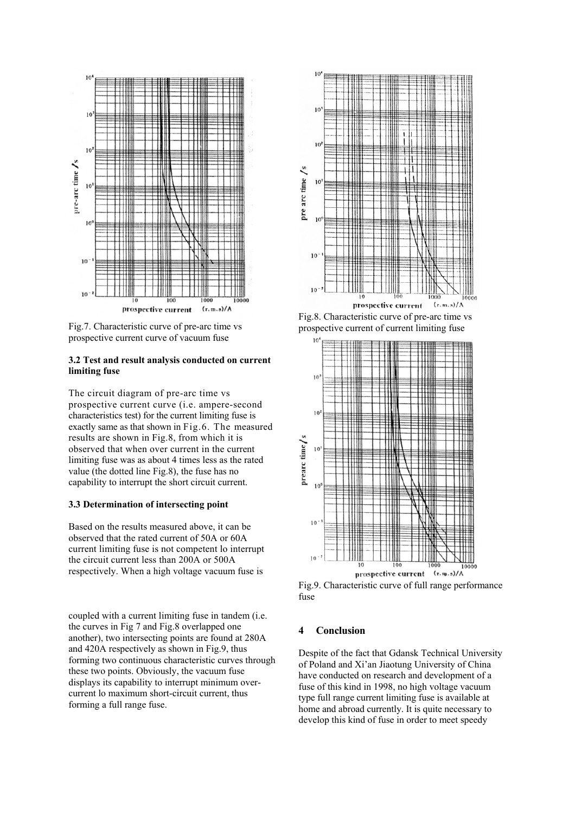

Fig.7. Characteristic curve of pre-arc time vs prospective current curve of vacuum fuse

#### **3.2 Test and result analysis conducted on current limiting fuse**

The circuit diagram of pre-arc time vs prospective current curve (i.e. ampere-second characteristics test) for the current limiting fuse is exactly same as that shown in Fig.6. The measured results are shown in Fig.8, from which it is observed that when over current in the current limiting fuse was as about 4 times less as the rated value (the dotted line Fig.8), the fuse has no capability to interrupt the short circuit current.

# **3.3 Determination of intersecting point**

Based on the results measured above, it can be observed that the rated current of 50A or 60A current limiting fuse is not competent lo interrupt the circuit current less than 200A or 500A respectively. When a high voltage vacuum fuse is

coupled with a current limiting fuse in tandem (i.e. the curves in Fig 7 and Fig.8 overlapped one another), two intersecting points are found at 280A and 420A respectively as shown in Fig.9, thus forming two continuous characteristic curves through these two points. Obviously, the vacuum fuse displays its capability to interrupt minimum overcurrent lo maximum short-circuit current, thus forming a full range fuse.



Fig.8. Characteristic curve of pre-arc time vs prospective current of current limiting fuse



Fig.9. Characteristic curve of full range performance fuse

# **4 Conclusion**

Despite of the fact that Gdansk Technical University of Poland and Xi'an Jiaotung University of China have conducted on research and development of a fuse of this kind in 1998, no high voltage vacuum type full range current limiting fuse is available at home and abroad currently. It is quite necessary to develop this kind of fuse in order to meet speedy